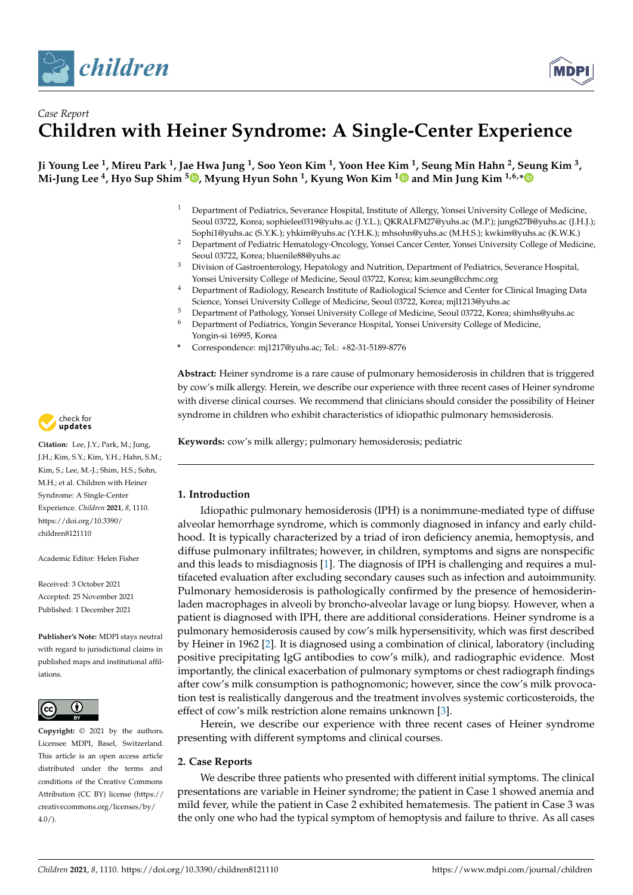



# *Case Report* **Children with Heiner Syndrome: A Single-Center Experience**

**Ji Young Lee <sup>1</sup> , Mireu Park <sup>1</sup> , Jae Hwa Jung <sup>1</sup> , Soo Yeon Kim <sup>1</sup> , Yoon Hee Kim <sup>1</sup> , Seung Min Hahn <sup>2</sup> , Seung Kim <sup>3</sup> , Mi-Jung Lee <sup>4</sup> , Hyo Sup Shim <sup>5</sup> [,](https://orcid.org/0000-0002-5718-3624) Myung Hyun Sohn <sup>1</sup> , Kyung Won Kim [1](https://orcid.org/0000-0003-4529-6135) and Min Jung Kim 1,6,[\\*](https://orcid.org/0000-0002-5634-9709)**

- <sup>1</sup> Department of Pediatrics, Severance Hospital, Institute of Allergy, Yonsei University College of Medicine, Seoul 03722, Korea; sophielee0319@yuhs.ac (J.Y.L.); QKRALFM27@yuhs.ac (M.P.); jung627B@yuhs.ac (J.H.J.); Sophi1@yuhs.ac (S.Y.K.); yhkim@yuhs.ac (Y.H.K.); mhsohn@yuhs.ac (M.H.S.); kwkim@yuhs.ac (K.W.K.)
- <sup>2</sup> Department of Pediatric Hematology-Oncology, Yonsei Cancer Center, Yonsei University College of Medicine, Seoul 03722, Korea; bluenile88@yuhs.ac
- <sup>3</sup> Division of Gastroenterology, Hepatology and Nutrition, Department of Pediatrics, Severance Hospital, Yonsei University College of Medicine, Seoul 03722, Korea; kim.seung@cchmc.org
- <sup>4</sup> Department of Radiology, Research Institute of Radiological Science and Center for Clinical Imaging Data Science, Yonsei University College of Medicine, Seoul 03722, Korea; mjl1213@yuhs.ac
- <sup>5</sup> Department of Pathology, Yonsei University College of Medicine, Seoul 03722, Korea; shimhs@yuhs.ac<br><sup>6</sup> Department of Pediatrics, Yongin Sayarange Hespital, Yongi University College of Medicine <sup>6</sup> Department of Pediatrics, Yongin Severance Hospital, Yonsei University College of Medicine,
- Yongin-si 16995, Korea **\*** Correspondence: mj1217@yuhs.ac; Tel.: +82-31-5189-8776

**Abstract:** Heiner syndrome is a rare cause of pulmonary hemosiderosis in children that is triggered by cow's milk allergy. Herein, we describe our experience with three recent cases of Heiner syndrome with diverse clinical courses. We recommend that clinicians should consider the possibility of Heiner syndrome in children who exhibit characteristics of idiopathic pulmonary hemosiderosis.

**Keywords:** cow's milk allergy; pulmonary hemosiderosis; pediatric

## **1. Introduction**

Idiopathic pulmonary hemosiderosis (IPH) is a nonimmune-mediated type of diffuse alveolar hemorrhage syndrome, which is commonly diagnosed in infancy and early childhood. It is typically characterized by a triad of iron deficiency anemia, hemoptysis, and diffuse pulmonary infiltrates; however, in children, symptoms and signs are nonspecific and this leads to misdiagnosis [\[1\]](#page-5-0). The diagnosis of IPH is challenging and requires a multifaceted evaluation after excluding secondary causes such as infection and autoimmunity. Pulmonary hemosiderosis is pathologically confirmed by the presence of hemosiderinladen macrophages in alveoli by broncho-alveolar lavage or lung biopsy. However, when a patient is diagnosed with IPH, there are additional considerations. Heiner syndrome is a pulmonary hemosiderosis caused by cow's milk hypersensitivity, which was first described by Heiner in 1962 [\[2\]](#page-5-1). It is diagnosed using a combination of clinical, laboratory (including positive precipitating IgG antibodies to cow's milk), and radiographic evidence. Most importantly, the clinical exacerbation of pulmonary symptoms or chest radiograph findings after cow's milk consumption is pathognomonic; however, since the cow's milk provocation test is realistically dangerous and the treatment involves systemic corticosteroids, the effect of cow's milk restriction alone remains unknown [\[3\]](#page-5-2).

Herein, we describe our experience with three recent cases of Heiner syndrome presenting with different symptoms and clinical courses.

## **2. Case Reports**

We describe three patients who presented with different initial symptoms. The clinical presentations are variable in Heiner syndrome; the patient in Case 1 showed anemia and mild fever, while the patient in Case 2 exhibited hematemesis. The patient in Case 3 was the only one who had the typical symptom of hemoptysis and failure to thrive. As all cases



**Citation:** Lee, J.Y.; Park, M.; Jung, J.H.; Kim, S.Y.; Kim, Y.H.; Hahn, S.M.; Kim, S.; Lee, M.-J.; Shim, H.S.; Sohn, M.H.; et al. Children with Heiner Syndrome: A Single-Center Experience. *Children* **2021**, *8*, 1110. [https://doi.org/10.3390/](https://doi.org/10.3390/children8121110) [children8121110](https://doi.org/10.3390/children8121110)

Academic Editor: Helen Fisher

Received: 3 October 2021 Accepted: 25 November 2021 Published: 1 December 2021

**Publisher's Note:** MDPI stays neutral with regard to jurisdictional claims in published maps and institutional affiliations.



**Copyright:** © 2021 by the authors. Licensee MDPI, Basel, Switzerland. This article is an open access article distributed under the terms and conditions of the Creative Commons Attribution (CC BY) license (https:/[/](https://creativecommons.org/licenses/by/4.0/) [creativecommons.org/licenses/by/](https://creativecommons.org/licenses/by/4.0/)  $4.0/$ ).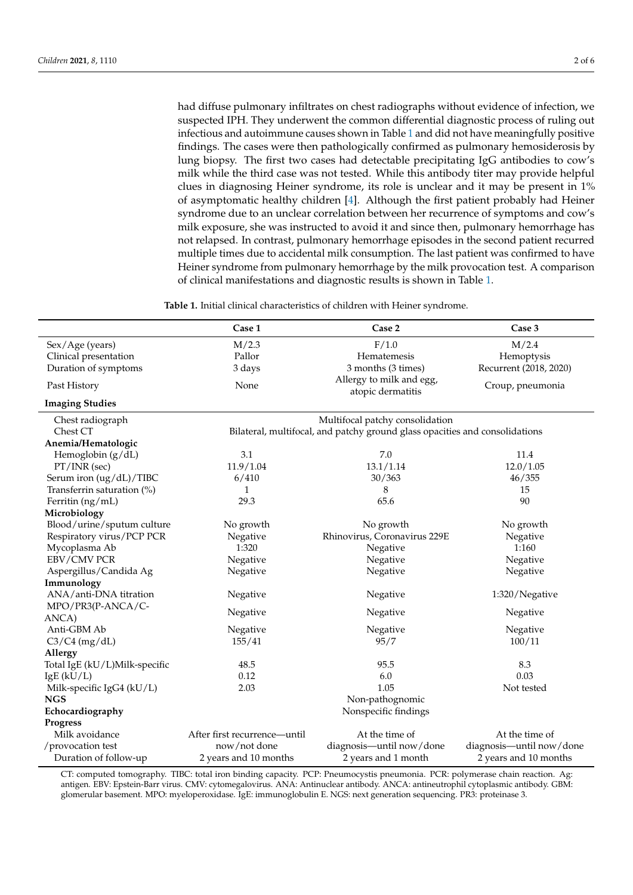had diffuse pulmonary infiltrates on chest radiographs without evidence of infection, we suspected IPH. They underwent the common differential diagnostic process of ruling out infectious and autoimmune causes shown in Table [1](#page-1-0) and did not have meaningfully positive findings. The cases were then pathologically confirmed as pulmonary hemosiderosis by lung biopsy. The first two cases had detectable precipitating IgG antibodies to cow's milk while the third case was not tested. While this antibody titer may provide helpful clues in diagnosing Heiner syndrome, its role is unclear and it may be present in 1% of asymptomatic healthy children [\[4\]](#page-5-3). Although the first patient probably had Heiner syndrome due to an unclear correlation between her recurrence of symptoms and cow's milk exposure, she was instructed to avoid it and since then, pulmonary hemorrhage has not relapsed. In contrast, pulmonary hemorrhage episodes in the second patient recurred multiple times due to accidental milk consumption. The last patient was confirmed to have Heiner syndrome from pulmonary hemorrhage by the milk provocation test. A comparison of clinical manifestations and diagnostic results is shown in Table [1.](#page-1-0)

**Table 1.** Initial clinical characteristics of children with Heiner syndrome.

<span id="page-1-0"></span>

|                               | Case 1                                                                      | Case 2                                        | Case 3                   |
|-------------------------------|-----------------------------------------------------------------------------|-----------------------------------------------|--------------------------|
| Sex/Age (years)               | M/2.3                                                                       | F/1.0                                         | M/2.4                    |
| Clinical presentation         | Pallor                                                                      | Hematemesis                                   | Hemoptysis               |
| Duration of symptoms          | 3 days                                                                      | 3 months (3 times)                            | Recurrent (2018, 2020)   |
| Past History                  | None                                                                        | Allergy to milk and egg,<br>atopic dermatitis | Croup, pneumonia         |
| <b>Imaging Studies</b>        |                                                                             |                                               |                          |
| Chest radiograph              | Multifocal patchy consolidation                                             |                                               |                          |
| Chest CT                      | Bilateral, multifocal, and patchy ground glass opacities and consolidations |                                               |                          |
| Anemia/Hematologic            |                                                                             |                                               |                          |
| Hemoglobin (g/dL)             | 3.1                                                                         | 7.0                                           | 11.4                     |
| $PT/INR$ (sec)                | 11.9/1.04                                                                   | 13.1/1.14                                     | 12.0 / 1.05              |
| Serum iron (ug/dL)/TIBC       | 6/410                                                                       | 30/363                                        | 46/355                   |
| Transferrin saturation (%)    | $\mathbf{1}$                                                                | 8                                             | 15                       |
| Ferritin (ng/mL)              | 29.3                                                                        | 65.6                                          | 90                       |
| Microbiology                  |                                                                             |                                               |                          |
| Blood/urine/sputum culture    | No growth                                                                   | No growth                                     | No growth                |
| Respiratory virus/PCP PCR     | Negative                                                                    | Rhinovirus, Coronavirus 229E                  | Negative                 |
| Mycoplasma Ab                 | 1:320                                                                       | Negative                                      | 1:160                    |
| EBV/CMV PCR                   | Negative                                                                    | Negative                                      | Negative                 |
| Aspergillus/Candida Ag        | Negative                                                                    | Negative                                      | Negative                 |
| Immunology                    |                                                                             |                                               |                          |
| ANA/anti-DNA titration        | Negative                                                                    | Negative                                      | 1:320/Negative           |
| MPO/PR3(P-ANCA/C-             |                                                                             |                                               |                          |
| ANCA)                         | Negative                                                                    | Negative                                      | Negative                 |
| Anti-GBM Ab                   | Negative                                                                    | Negative                                      | Negative                 |
| $C3/C4$ (mg/dL)               | 155/41                                                                      | 95/7                                          | 100/11                   |
| Allergy                       |                                                                             |                                               |                          |
| Total IgE (kU/L)Milk-specific | 48.5                                                                        | 95.5                                          | 8.3                      |
| IgE(kU/L)                     | 0.12                                                                        | 6.0                                           | 0.03                     |
| Milk-specific IgG4 (kU/L)     | 2.03                                                                        | 1.05                                          | Not tested               |
| <b>NGS</b>                    |                                                                             | Non-pathognomic                               |                          |
| Echocardiography              |                                                                             | Nonspecific findings                          |                          |
| <b>Progress</b>               |                                                                             |                                               |                          |
| Milk avoidance                | After first recurrence—until                                                | At the time of                                | At the time of           |
| /provocation test             | now/not done                                                                | diagnosis-until now/done                      | diagnosis-until now/done |
| Duration of follow-up         | 2 years and 10 months                                                       | 2 years and 1 month                           | 2 years and 10 months    |

CT: computed tomography. TIBC: total iron binding capacity. PCP: Pneumocystis pneumonia. PCR: polymerase chain reaction. Ag: antigen. EBV: Epstein-Barr virus. CMV: cytomegalovirus. ANA: Antinuclear antibody. ANCA: antineutrophil cytoplasmic antibody. GBM: glomerular basement. MPO: myeloperoxidase. IgE: immunoglobulin E. NGS: next generation sequencing. PR3: proteinase 3.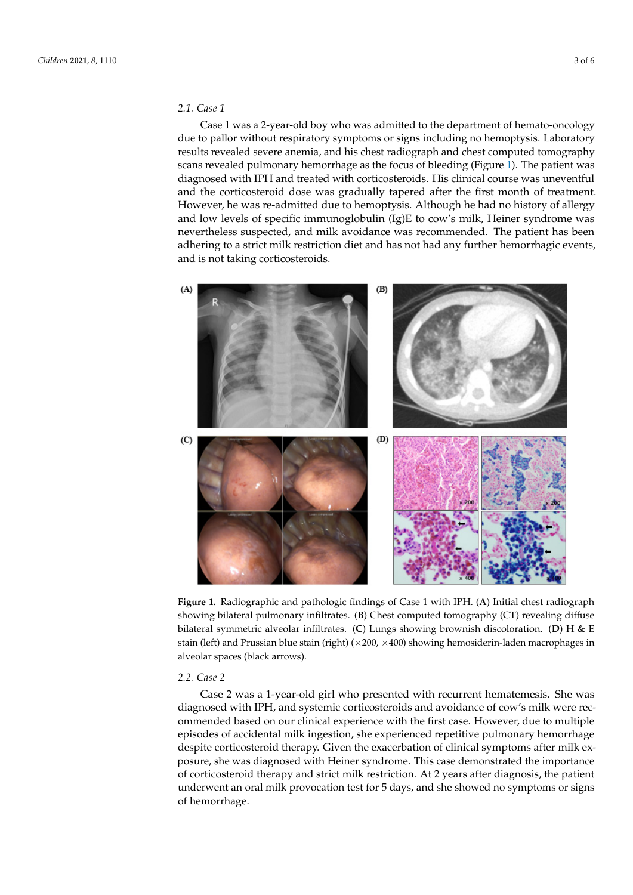## *2.1. Case 1*

eration sequencing. PR3: proteinase 3.

Case 1 was a 2-year-old boy who was admitted to the department of hemato-oncology due to pallor without respiratory symptoms or signs including no hemoptysis. Laboratory and to panel without respiratory by inpleme of signe increasing the nemeptypie. Ease entity results revealed severe anemia, and his chest radiograph and chest computed tomography Festans revealed pulmonary hemorrhage as the focus of bleeding (Figure [1\)](#page-2-0). The patient was scans revealed pulmonary hemorrhage as the focus of bleeding (Figure 1). The patient was Edition of collecting patitionary networking one are received or steeding (Figure 1). The patient was diagnosed with IPH and treated with corticosteroids. His clinical course was uneventful and the corticosteroid dose was gradually tapered after the first month of treatment. However, he was re-admitted due to hemoptysis. Although he had no history of allergy and low levels of specific immunoglobulin  $(Ig)E$  to cow's milk, Heiner syndrome was nevertheless suspected, and milk avoidance was recommended. The patient has been adhering to a strict milk restriction diet and has not had any further hemorrhagic events, and is not taking corticosteroids.

<span id="page-2-0"></span>

showing bilateral pulmonary infiltrates. (B) Chest computed tomography (CT) revealing diffuse bilateral symmetric alveolar infiltrates. (C) Lungs showing brownish discoloration. (D) H & E showing brownish discoloration. (**D**) H & E stain (left) and Prussian blue stain (right) (×200, ×400) showing hemosiderinstain (left) and Prussian blue stain (right) ( $\times$ 200,  $\times$ 400) showing hemosiderin-laden macrophages in **Figure 1.** Radiographic and pathologic findings of Case 1 with IPH. (**A**) Initial chest radiograph alveolar spaces (black arrows).

#### *2.2. Case 2*

Case 2 was a 1-year-old girl who presented with recurrent hematemesis. She was diagnosed with IPH, and systemic corticosteroids and avoidance of cow's milk were recommended based on our clinical experience with the first case. However, due to multiple episodes of accidental milk ingestion, she experienced repetitive pulmonary hemorrhage despite corticosteroid therapy. Given the exacerbation of clinical symptoms after milk exposure, she was diagnosed with Heiner syndrome. This case demonstrated the importance of corticosteroid therapy and strict milk restriction. At 2 years after diagnosis, the patient underwent an oral milk provocation test for 5 days, and she showed no symptoms or signs of hemorrhage.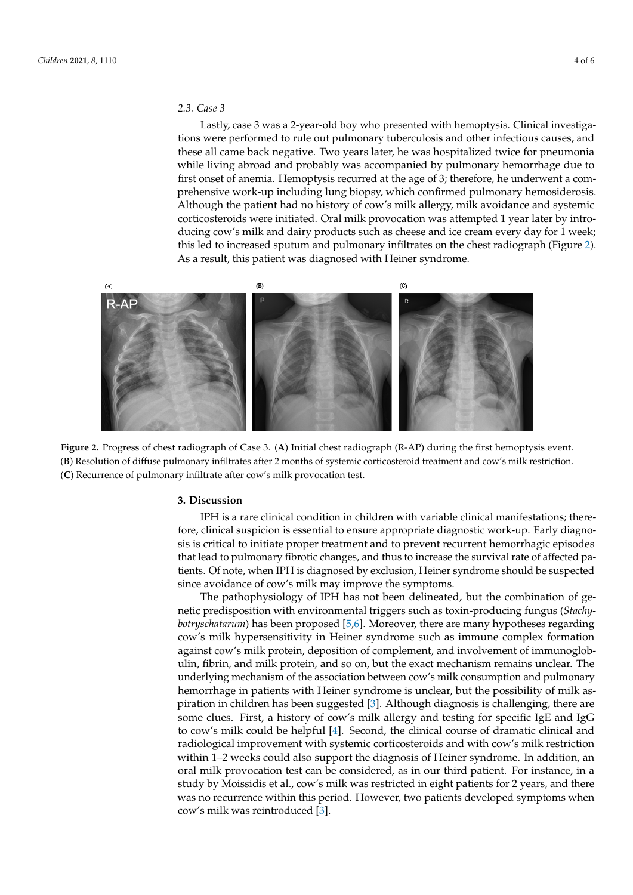### *2.3. Case 3 2.3. Case 3*

Lastly, case 3 was a 2-year-old boy who presented with hemoptysis. Clinical investigations were performed to rule out pulmonary tuberculosis and other infectious causes, and these all came back negative. Two years later, he was hospitalized twice for pneumonia while living abroad and probably was accompanied by pulmonary hemorrhage due to first onset of anemia. Hemoptysis recurred at the age of 3; therefore, he underwent a comprehensive work-up including lung biopsy, which confirmed pulmonary hemosiderosis. Although the patient had no history of cow's milk allergy, milk avoidance and systemic corticosteroids were initiated. Oral milk provocation was attempted 1 year later by introducing cow's milk and dairy products such as cheese and ice cream every day for 1 week; this led to increased sputum and pulmonary infiltrates on the chest radiogra[ph](#page-3-0) (Figure 2). As a result, this patient was diagnosed with Heiner syndrome.

<span id="page-3-0"></span>

Figure 2. Progress of chest radiograph of Case 3. (A) Initial chest radiograph (R-AP) during the first hemoptysis event. (B) Resolution of diffuse pulmonary infiltrates after 2 months of systemic corticosteroid treatment and cow's milk restriction. (**C**) Recurrence of pulmonary infiltrate after cow's milk provocation test. (**C**) Recurrence of pulmonary infiltrate after cow's milk provocation test.

#### **3. Discussion 3. Discussion**

IPH is a rare clinical condition in children with variable clinical manifestations; there-IPH is a rare clinical condition in children with variable clinical manifestations; therefore, clinical suspicion is essential to ensure appropriate diagnostic work-up. Early diagnosis is critical to initiate proper treatment and to prevent recurrent hemorrhagic episodes that lead to pulmonary fibrotic changes, and thus to increase the survival rate of affected patients. Of note, when IPH is diagnosed by exclusion, Heiner syndrome should be suspected since avoidance of cow's milk may improve the symptoms.

The pathophysiology of IPH has not been delineated, but the combination of gepredisposition with environmental triggers such as toxin-producing fungus (*Stachy-*netic predisposition with environmental triggers such as toxin-producing fungus (*Stachybotryschatarum*) has been proposed [5,6]. Moreover, there are many hypotheses regarding *botryschatarum*) has been proposed [\[5,](#page-5-4)[6\]](#page-5-5). Moreover, there are many hypotheses regarding cow's milk hypersensitivity in Heiner syndrome such as immune complex formation cow's milk hypersensitivity in Heiner syndrome such as immune complex formation against cow's milk protein, deposition of complement, and involvement of immunogloblin, fibrin, and milk protein, and so on, but the exact mechanism remains unclear. The ulin, fibrin, and milk protein, and so on, but the exact mechanism remains unclear. The underlying mechanism of the association between cow's milk consumption and pulmonary hemorrhage in patients with Heiner syndrome is unclear, but the possibility of milk aspiration in children has been suggested [\[3\]](#page-5-2). Although diagnosis is challenging, there are some clues. First, a history of cow's milk allergy and testing for specific IgE and IgG to cow's milk could be helpful [\[4\]](#page-5-3). Second, the clinical course of dramatic clinical and radiological improvement with systemic corticosteroids and with cow's milk restriction within 1–2 weeks could also support the diagnosis of Heiner syndrome. In addition, an oral milk provocation test can be considered, as in our third patient. For instance, in a study by Moissidis et al., cow's milk was restricted in eight patients for 2 years, and there was no recurrence within this period. However, two patients developed symptoms when cow's milk was reintroduced [\[3\]](#page-5-2).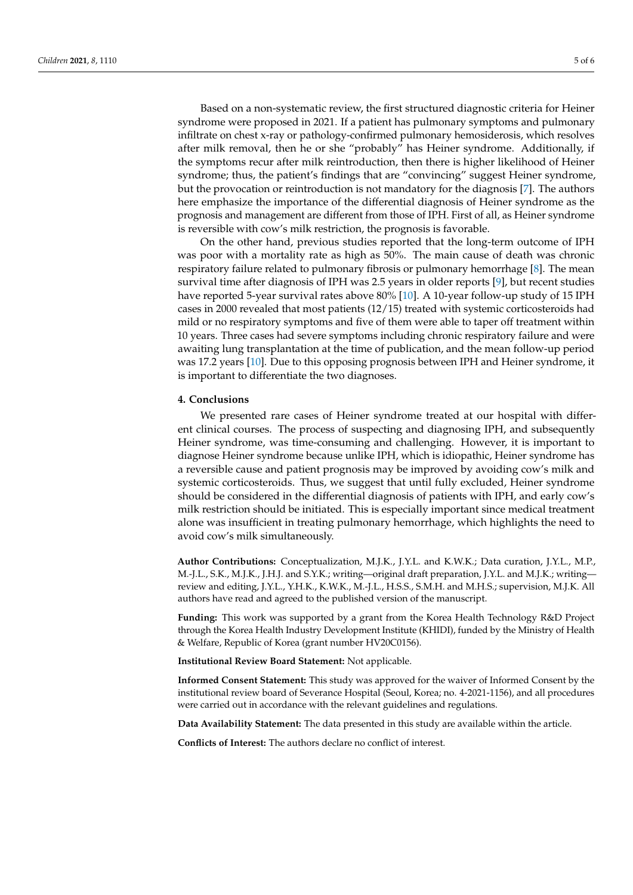Based on a non-systematic review, the first structured diagnostic criteria for Heiner syndrome were proposed in 2021. If a patient has pulmonary symptoms and pulmonary infiltrate on chest x-ray or pathology-confirmed pulmonary hemosiderosis, which resolves after milk removal, then he or she "probably" has Heiner syndrome. Additionally, if the symptoms recur after milk reintroduction, then there is higher likelihood of Heiner syndrome; thus, the patient's findings that are "convincing" suggest Heiner syndrome, but the provocation or reintroduction is not mandatory for the diagnosis [\[7\]](#page-5-6). The authors here emphasize the importance of the differential diagnosis of Heiner syndrome as the prognosis and management are different from those of IPH. First of all, as Heiner syndrome is reversible with cow's milk restriction, the prognosis is favorable.

On the other hand, previous studies reported that the long-term outcome of IPH was poor with a mortality rate as high as 50%. The main cause of death was chronic respiratory failure related to pulmonary fibrosis or pulmonary hemorrhage [\[8\]](#page-5-7). The mean survival time after diagnosis of IPH was 2.5 years in older reports [\[9\]](#page-5-8), but recent studies have reported 5-year survival rates above 80% [\[10\]](#page-5-9). A 10-year follow-up study of 15 IPH cases in 2000 revealed that most patients (12/15) treated with systemic corticosteroids had mild or no respiratory symptoms and five of them were able to taper off treatment within 10 years. Three cases had severe symptoms including chronic respiratory failure and were awaiting lung transplantation at the time of publication, and the mean follow-up period was 17.2 years [\[10\]](#page-5-9). Due to this opposing prognosis between IPH and Heiner syndrome, it is important to differentiate the two diagnoses.

#### **4. Conclusions**

We presented rare cases of Heiner syndrome treated at our hospital with different clinical courses. The process of suspecting and diagnosing IPH, and subsequently Heiner syndrome, was time-consuming and challenging. However, it is important to diagnose Heiner syndrome because unlike IPH, which is idiopathic, Heiner syndrome has a reversible cause and patient prognosis may be improved by avoiding cow's milk and systemic corticosteroids. Thus, we suggest that until fully excluded, Heiner syndrome should be considered in the differential diagnosis of patients with IPH, and early cow's milk restriction should be initiated. This is especially important since medical treatment alone was insufficient in treating pulmonary hemorrhage, which highlights the need to avoid cow's milk simultaneously.

**Author Contributions:** Conceptualization, M.J.K., J.Y.L. and K.W.K.; Data curation, J.Y.L., M.P., M.-J.L., S.K., M.J.K., J.H.J. and S.Y.K.; writing—original draft preparation, J.Y.L. and M.J.K.; writing review and editing, J.Y.L., Y.H.K., K.W.K., M.-J.L., H.S.S., S.M.H. and M.H.S.; supervision, M.J.K. All authors have read and agreed to the published version of the manuscript.

**Funding:** This work was supported by a grant from the Korea Health Technology R&D Project through the Korea Health Industry Development Institute (KHIDI), funded by the Ministry of Health & Welfare, Republic of Korea (grant number HV20C0156).

**Institutional Review Board Statement:** Not applicable.

**Informed Consent Statement:** This study was approved for the waiver of Informed Consent by the institutional review board of Severance Hospital (Seoul, Korea; no. 4-2021-1156), and all procedures were carried out in accordance with the relevant guidelines and regulations.

**Data Availability Statement:** The data presented in this study are available within the article.

**Conflicts of Interest:** The authors declare no conflict of interest.